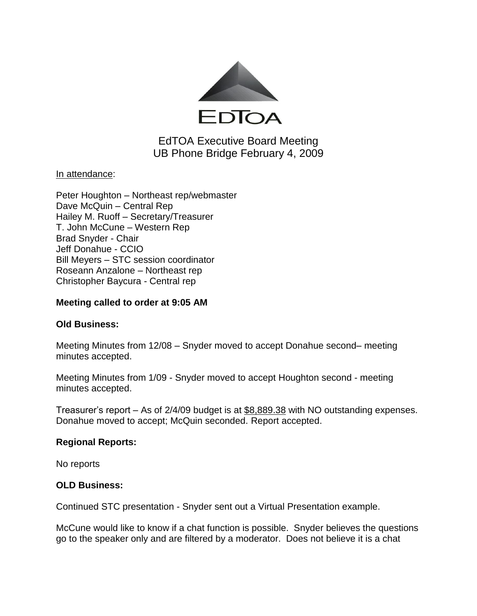

# EdTOA Executive Board Meeting UB Phone Bridge February 4, 2009

## <u>In attendance:</u>

Peter Houghton – Northeast rep/webmaster Dave McQuin – Central Rep Hailey M. Ruoff – Secretary/Treasurer T. John McCune – Western Rep Brad Snyder - Chair Jeff Donahue - CCIO Bill Meyers – STC session coordinator Roseann Anzalone – Northeast rep Christopher Baycura - Central rep

### **Meeting called to order at 9:05 AM**

### **Old Business:**

Meeting Minutes from 12/08 – Snyder moved to accept Donahue second– meeting minutes accepted.

Meeting Minutes from 1/09 - Snyder moved to accept Houghton second - meeting minutes accepted.

Treasurer's report – As of 2/4/09 budget is at \$8,889.38 with NO outstanding expenses. Donahue moved to accept; McQuin seconded. Report accepted.

### **Regional Reports:**

No reports

### **OLD Business:**

Continued STC presentation - Snyder sent out a Virtual Presentation example.

McCune would like to know if a chat function is possible. Snyder believes the questions go to the speaker only and are filtered by a moderator. Does not believe it is a chat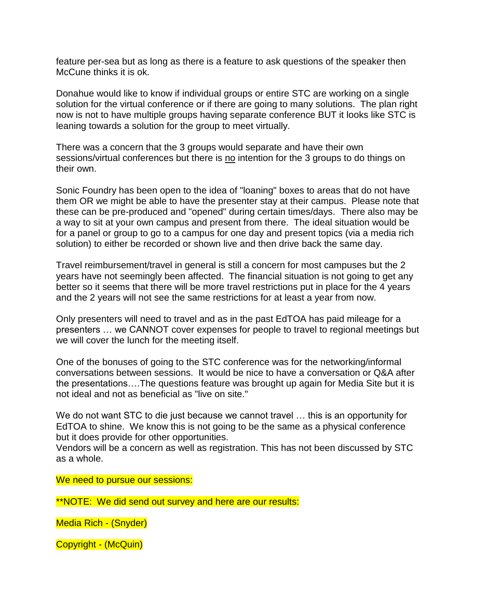feature per-sea but as long as there is a feature to ask questions of the speaker then McCune thinks it is ok.

Donahue would like to know if individual groups or entire STC are working on a single solution for the virtual conference or if there are going to many solutions. The plan right now is not to have multiple groups having separate conference BUT it looks like STC is leaning towards a solution for the group to meet virtually.

There was a concern that the 3 groups would separate and have their own sessions/virtual conferences but there is no intention for the 3 groups to do things on their own.

Sonic Foundry has been open to the idea of "loaning" boxes to areas that do not have them OR we might be able to have the presenter stay at their campus. Please note that these can be pre-produced and "opened" during certain times/days. There also may be a way to sit at your own campus and present from there. The ideal situation would be for a panel or group to go to a campus for one day and present topics (via a media rich solution) to either be recorded or shown live and then drive back the same day.

Travel reimbursement/travel in general is still a concern for most campuses but the 2 years have not seemingly been affected. The financial situation is not going to get any better so it seems that there will be more travel restrictions put in place for the 4 years and the 2 years will not see the same restrictions for at least a year from now.

Only presenters will need to travel and as in the past EdTOA has paid mileage for a presenters … we CANNOT cover expenses for people to travel to regional meetings but we will cover the lunch for the meeting itself.

One of the bonuses of going to the STC conference was for the networking/informal conversations between sessions. It would be nice to have a conversation or Q&A after the presentations….The questions feature was brought up again for Media Site but it is not ideal and not as beneficial as "live on site."

We do not want STC to die just because we cannot travel ... this is an opportunity for EdTOA to shine. We know this is not going to be the same as a physical conference but it does provide for other opportunities.

Vendors will be a concern as well as registration. This has not been discussed by STC as a whole.

We need to pursue our sessions:

\*\*NOTE: We did send out survey and here are our results:

Media Rich - (Snyder)

Copyright - (McQuin)